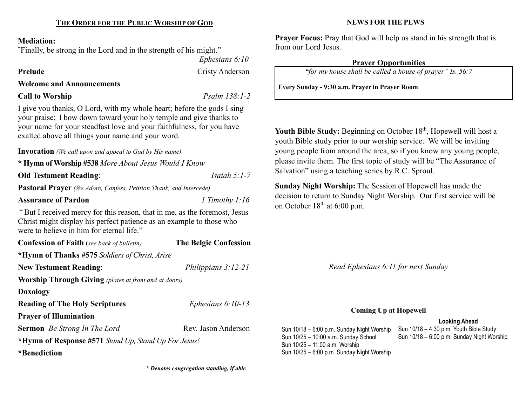#### Mediation:

"Finally, be strong in the Lord and in the strength of his might."

 Ephesians 6:10 Prelude Cristy Anderson

Welcome and Announcements

# Call to Worship Psalm 138:1-2

I give you thanks, O Lord, with my whole heart; before the gods I sing your praise; I bow down toward your holy temple and give thanks to your name for your steadfast love and your faithfulness, for you have exalted above all things your name and your word.

Invocation (We call upon and appeal to God by His name)

\* Hymn of Worship #538 More About Jesus Would I Know

**Old Testament Reading:** *Isaiah 5:1-7* 

Pastoral Prayer (We Adore, Confess, Petition Thank, and Intercede)

Assurance of Pardon 1 Timothy 1:16

"But I received mercy for this reason, that in me, as the foremost, Jesus Christ might display his perfect patience as an example to those who were to believe in him for eternal life."

Confession of Faith (see back of bulletin) The Belgic Confession \*Hymn of Thanks #575 Soldiers of Christ, Arise New Testament Reading: Philippians 3:12-21 Worship Through Giving (plates at front and at doors) Doxology Reading of The Holy Scriptures *Ephesians 6:10-13* Prayer of Illumination Sermon *Be Strong In The Lord* Rev. Jason Anderson \*Hymn of Response #571 Stand Up, Stand Up For Jesus!

\*Benediction

\* Denotes congregation standing, if able

#### NEWS FOR THE PEWS

Prayer Focus: Pray that God will help us stand in his strength that is from our Lord Jesus.

# Prayer Opportunities

"for my house shall be called a house of prayer" Is. 56:7

Every Sunday - 9:30 a.m. Prayer in Prayer Room

Youth Bible Study: Beginning on October 18<sup>th</sup>, Hopewell will host a youth Bible study prior to our worship service. We will be inviting young people from around the area, so if you know any young people, please invite them. The first topic of study will be "The Assurance of Salvation" using a teaching series by R.C. Sproul.

Sunday Night Worship: The Session of Hopewell has made the decision to return to Sunday Night Worship. Our first service will be on October  $18<sup>th</sup>$  at 6:00 p.m.

Read Ephesians 6:11 for next Sunday

# Coming Up at Hopewell

### Looking Ahead

Sun 10/18 – 6:00 p.m. Sunday Night Worship Sun 10/25 – 10:00 a.m. Sunday School Sun 10/25 – 11:00 a.m. Worship Sun 10/25 – 6:00 p.m. Sunday Night Worship

Sun 10/18 – 4:30 p.m. Youth Bible Study Sun 10/18 – 6:00 p.m. Sunday Night Worship